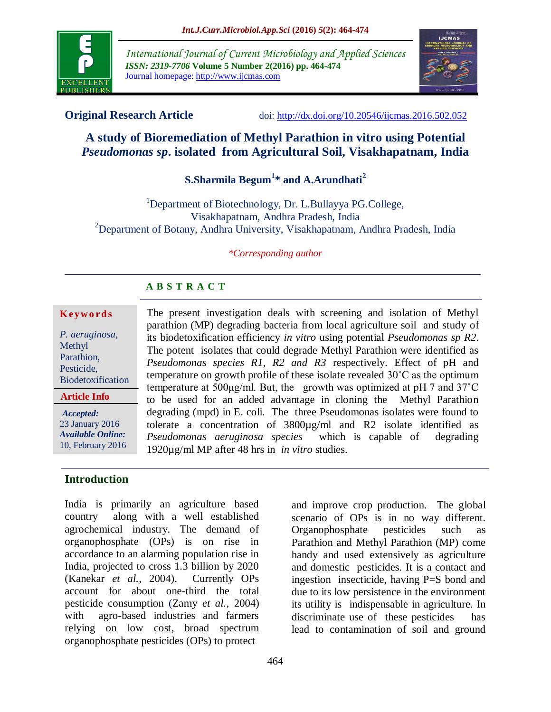

*International Journal of Current Microbiology and Applied Sciences ISSN: 2319-7706* **Volume 5 Number 2(2016) pp. 464-474** Journal homepage: http://www.ijcmas.com



**Original Research Article** doi: [http://dx.doi.org/10.20546/ijcmas.2016.502.052](http://dx.doi.org/10.20546/ijcmas.2016.501.052)

# **A study of Bioremediation of Methyl Parathion in vitro using Potential**  *Pseudomonas sp***. isolated from Agricultural Soil, Visakhapatnam, India**

# **S.Sharmila Begum<sup>1</sup> \* and A.Arundhati<sup>2</sup>**

<sup>1</sup>Department of Biotechnology, Dr. L.Bullayya PG.College, Visakhapatnam, Andhra Pradesh, India <sup>2</sup>Department of Botany, Andhra University, Visakhapatnam, Andhra Pradesh, India

#### *\*Corresponding author*

#### **A B S T R A C T**

#### **K ey w o rd s**

*P. aeruginosa,* Methyl Parathion, Pesticide, Biodetoxification

**Article Info**

*Accepted:*  23 January 2016 *Available Online:* 10, February 2016

## **Introduction**

India is primarily an agriculture based country along with a well established agrochemical industry. The demand of organophosphate (OPs) is on rise in accordance to an alarming population rise in India, projected to cross 1.3 billion by 2020 (Kanekar *et al.,* 2004). Currently OPs account for about one-third the total pesticide consumption (Zamy *et al.,* 2004) with agro-based industries and farmers relying on low cost, broad spectrum organophosphate pesticides (OPs) to protect

temperature on growth profile of these isolate revealed 30˚C as the optimum temperature at 500μg/ml. But, the growth was optimized at pH 7 and 37˚C to be used for an added advantage in cloning the Methyl Parathion degrading (mpd) in E. coli. The three Pseudomonas isolates were found to tolerate a concentration of 3800µg/ml and R2 isolate identified as *Pseudomonas aeruginosa species* which is capable of degrading 1920µg/ml MP after 48 hrs in *in vitro* studies.

The present investigation deals with screening and isolation of Methyl parathion (MP) degrading bacteria from local agriculture soil and study of its biodetoxification efficiency *in vitro* using potential *Pseudomonas sp R2*. The potent isolates that could degrade Methyl Parathion were identified as *Pseudomonas species R1, R2 and R3* respectively. Effect of pH and

> and improve crop production. The global scenario of OPs is in no way different. Organophosphate pesticides such as Parathion and Methyl Parathion (MP) come handy and used extensively as agriculture and domestic pesticides. It is a contact and ingestion insecticide, having P=S bond and due to its low persistence in the environment its utility is indispensable in agriculture. In discriminate use of these pesticides has lead to contamination of soil and ground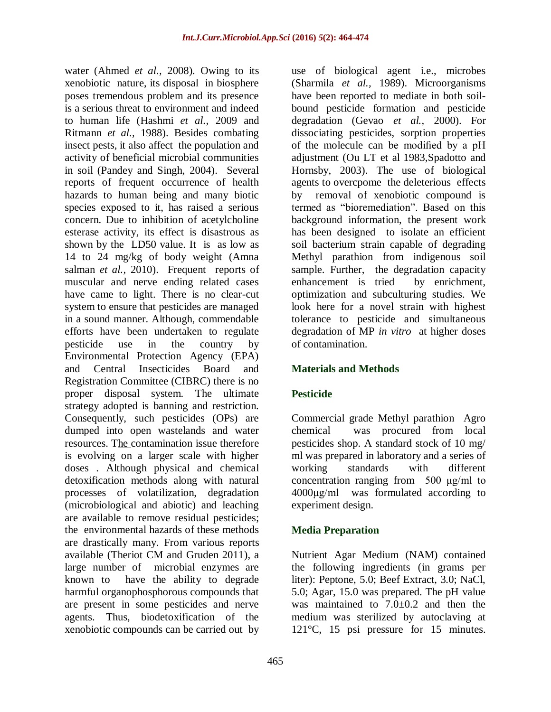water (Ahmed *et al.,* 2008). Owing to its xenobiotic nature, its disposal in biosphere poses tremendous problem and its presence is a serious threat to environment and indeed to human life (Hashmi *et al.,* 2009 and Ritmann *et al.,* 1988). Besides combating insect pests, it also affect the population and activity of beneficial microbial communities in soil (Pandey and Singh, 2004). Several reports of frequent occurrence of health hazards to human being and many biotic species exposed to it, has raised a serious concern. Due to inhibition of acetylcholine esterase activity, its effect is disastrous as shown by the LD50 value. It is as low as 14 to 24 mg/kg of body weight (Amna salman *et al.,* 2010). Frequent reports of muscular and nerve ending related cases have came to light. There is no clear-cut system to ensure that pesticides are managed in a sound manner. Although, commendable efforts have been undertaken to regulate pesticide use in the country by Environmental Protection Agency (EPA) and Central Insecticides Board and Registration Committee (CIBRC) there is no proper disposal system. The ultimate strategy adopted is banning and restriction. Consequently, such pesticides (OPs) are dumped into open wastelands and water resources. The contamination issue therefore is evolving on a larger scale with higher doses . Although physical and chemical detoxification methods along with natural processes of volatilization, degradation (microbiological and abiotic) and leaching are available to remove residual pesticides; the environmental hazards of these methods are drastically many. From various reports available (Theriot CM and Gruden 2011), a large number of microbial enzymes are known to have the ability to degrade harmful organophosphorous compounds that are present in some pesticides and nerve agents. Thus, biodetoxification of the xenobiotic compounds can be carried out by

use of biological agent i.e., microbes (Sharmila *et al.,* 1989). Microorganisms have been reported to mediate in both soilbound pesticide formation and pesticide degradation (Gevao *et al.,* 2000). For dissociating pesticides, sorption properties of the molecule can be modified by a pH adjustment (Ou LT et al 1983,Spadotto and Hornsby, 2003). The use of biological agents to overcpome the deleterious effects by removal of xenobiotic compound is termed as "bioremediation". Based on this background information, the present work has been designed to isolate an efficient soil bacterium strain capable of degrading Methyl parathion from indigenous soil sample. Further, the degradation capacity enhancement is tried by enrichment, optimization and subculturing studies. We look here for a novel strain with highest tolerance to pesticide and simultaneous degradation of MP *in vitro* at higher doses of contamination.

## **Materials and Methods**

## **Pesticide**

Commercial grade Methyl parathion Agro chemical was procured from local pesticides shop. A standard stock of 10 mg/ ml was prepared in laboratory and a series of working standards with different concentration ranging from 500 μg/ml to 4000μg/ml was formulated according to experiment design.

## **Media Preparation**

Nutrient Agar Medium (NAM) contained the following ingredients (in grams per liter): Peptone, 5.0; Beef Extract, 3.0; NaCl, 5.0; Agar, 15.0 was prepared. The pH value was maintained to  $7.0 \pm 0.2$  and then the medium was sterilized by autoclaving at 121°C, 15 psi pressure for 15 minutes.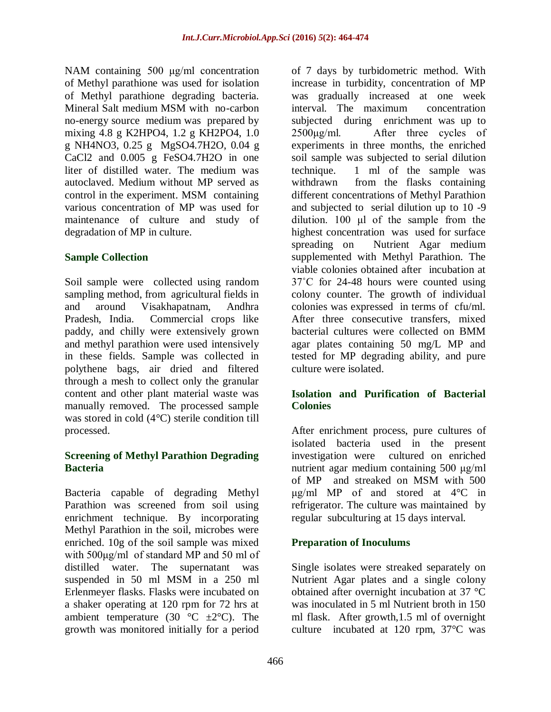NAM containing 500 μg/ml concentration of Methyl parathione was used for isolation of Methyl parathione degrading bacteria. Mineral Salt medium MSM with no-carbon no-energy source medium was prepared by mixing 4.8 g K2HPO4, 1.2 g KH2PO4, 1.0 g NH4NO3, 0.25 g MgSO4.7H2O, 0.04 g CaCl2 and 0.005 g FeSO4.7H2O in one liter of distilled water. The medium was autoclaved. Medium without MP served as control in the experiment. MSM containing various concentration of MP was used for maintenance of culture and study of degradation of MP in culture.

#### **Sample Collection**

Soil sample were collected using random sampling method, from agricultural fields in and around Visakhapatnam, Andhra Pradesh, India. Commercial crops like paddy, and chilly were extensively grown and methyl parathion were used intensively in these fields. Sample was collected in polythene bags, air dried and filtered through a mesh to collect only the granular content and other plant material waste was manually removed. The processed sample was stored in cold (4°C) sterile condition till processed.

#### **Screening of Methyl Parathion Degrading Bacteria**

Bacteria capable of degrading Methyl Parathion was screened from soil using enrichment technique. By incorporating Methyl Parathion in the soil, microbes were enriched. 10g of the soil sample was mixed with 500μg/ml of standard MP and 50 ml of distilled water. The supernatant was suspended in 50 ml MSM in a 250 ml Erlenmeyer flasks. Flasks were incubated on a shaker operating at 120 rpm for 72 hrs at ambient temperature (30  $\degree$ C  $\pm$ 2 $\degree$ C). The growth was monitored initially for a period

of 7 days by turbidometric method. With increase in turbidity, concentration of MP was gradually increased at one week interval. The maximum concentration subjected during enrichment was up to  $2500\mu g/ml$ . After three cycles of experiments in three months, the enriched soil sample was subjected to serial dilution technique. 1 ml of the sample was withdrawn from the flasks containing different concentrations of Methyl Parathion and subjected to serial dilution up to 10 -9 dilution. 100 μl of the sample from the highest concentration was used for surface spreading on Nutrient Agar medium supplemented with Methyl Parathion. The viable colonies obtained after incubation at 37˚C for 24-48 hours were counted using colony counter. The growth of individual colonies was expressed in terms of cfu/ml. After three consecutive transfers, mixed bacterial cultures were collected on BMM agar plates containing 50 mg/L MP and tested for MP degrading ability, and pure culture were isolated.

#### **Isolation and Purification of Bacterial Colonies**

After enrichment process, pure cultures of isolated bacteria used in the present investigation were cultured on enriched nutrient agar medium containing 500 μg/ml of MP and streaked on MSM with 500 μg/ml MP of and stored at 4°C in refrigerator. The culture was maintained by regular subculturing at 15 days interval.

#### **Preparation of Inoculums**

Single isolates were streaked separately on Nutrient Agar plates and a single colony obtained after overnight incubation at 37 °C was inoculated in 5 ml Nutrient broth in 150 ml flask. After growth,1.5 ml of overnight culture incubated at 120 rpm, 37°C was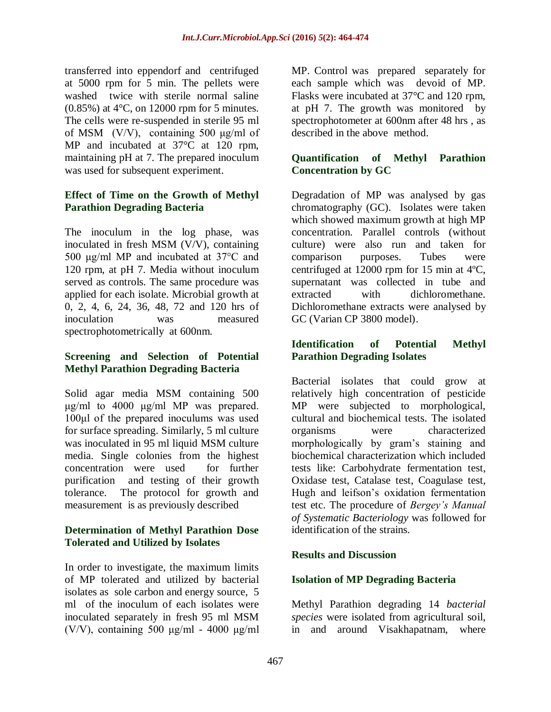transferred into eppendorf and centrifuged at 5000 rpm for 5 min. The pellets were washed twice with sterile normal saline (0.85%) at 4°C, on 12000 rpm for 5 minutes. The cells were re-suspended in sterile 95 ml of MSM (V/V), containing 500 μg/ml of MP and incubated at 37°C at 120 rpm, maintaining pH at 7. The prepared inoculum was used for subsequent experiment.

#### **Effect of Time on the Growth of Methyl Parathion Degrading Bacteria**

The inoculum in the log phase, was inoculated in fresh MSM (V/V), containing 500 μg/ml MP and incubated at 37°C and 120 rpm, at pH 7. Media without inoculum served as controls. The same procedure was applied for each isolate. Microbial growth at 0, 2, 4, 6, 24, 36, 48, 72 and 120 hrs of inoculation was measured spectrophotometrically at 600nm.

#### **Screening and Selection of Potential Methyl Parathion Degrading Bacteria**

Solid agar media MSM containing 500 μg/ml to 4000 μg/ml MP was prepared. 100μl of the prepared inoculums was used for surface spreading. Similarly, 5 ml culture was inoculated in 95 ml liquid MSM culture media. Single colonies from the highest concentration were used for further purification and testing of their growth tolerance. The protocol for growth and measurement is as previously described

#### **Determination of Methyl Parathion Dose Tolerated and Utilized by Isolates**

In order to investigate, the maximum limits of MP tolerated and utilized by bacterial isolates as sole carbon and energy source, 5 ml of the inoculum of each isolates were inoculated separately in fresh 95 ml MSM (V/V), containing 500 μg/ml - 4000 μg/ml MP. Control was prepared separately for each sample which was devoid of MP. Flasks were incubated at 37°C and 120 rpm, at pH 7. The growth was monitored by spectrophotometer at 600nm after 48 hrs , as described in the above method.

#### **Quantification of Methyl Parathion Concentration by GC**

Degradation of MP was analysed by gas chromatography (GC). Isolates were taken which showed maximum growth at high MP concentration. Parallel controls (without culture) were also run and taken for comparison purposes. Tubes were centrifuged at 12000 rpm for 15 min at 4ºC, supernatant was collected in tube and extracted with dichloromethane. Dichloromethane extracts were analysed by GC (Varian CP 3800 model).

#### **Identification of Potential Methyl Parathion Degrading Isolates**

Bacterial isolates that could grow at relatively high concentration of pesticide MP were subjected to morphological, cultural and biochemical tests. The isolated organisms were characterized morphologically by gram's staining and biochemical characterization which included tests like: Carbohydrate fermentation test, Oxidase test, Catalase test, Coagulase test, Hugh and leifson's oxidation fermentation test etc. The procedure of *Bergey's Manual of Systematic Bacteriology* was followed for identification of the strains.

#### **Results and Discussion**

#### **Isolation of MP Degrading Bacteria**

Methyl Parathion degrading 14 *bacterial species* were isolated from agricultural soil, in and around Visakhapatnam, where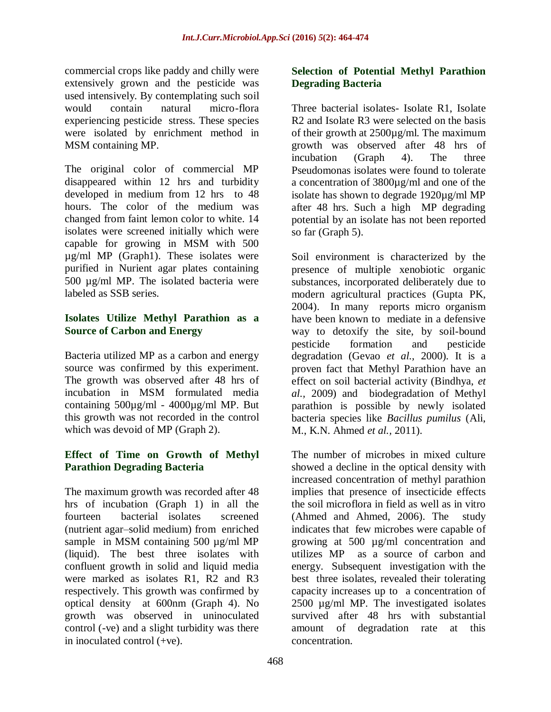commercial crops like paddy and chilly were extensively grown and the pesticide was used intensively. By contemplating such soil would contain natural micro-flora experiencing pesticide stress. These species were isolated by enrichment method in MSM containing MP.

The original color of commercial MP disappeared within 12 hrs and turbidity developed in medium from 12 hrs to 48 hours. The color of the medium was changed from faint lemon color to white. 14 isolates were screened initially which were capable for growing in MSM with 500 µg/ml MP (Graph1). These isolates were purified in Nurient agar plates containing 500 µg/ml MP. The isolated bacteria were labeled as SSB series.

#### **Isolates Utilize Methyl Parathion as a Source of Carbon and Energy**

Bacteria utilized MP as a carbon and energy source was confirmed by this experiment. The growth was observed after 48 hrs of incubation in MSM formulated media containing  $500\mu\text{g/ml}$  -  $4000\mu\text{g/ml}$  MP. But this growth was not recorded in the control which was devoid of MP (Graph 2).

#### **Effect of Time on Growth of Methyl Parathion Degrading Bacteria**

The maximum growth was recorded after 48 hrs of incubation (Graph 1) in all the fourteen bacterial isolates screened (nutrient agar–solid medium) from enriched sample in MSM containing 500  $\mu$ g/ml MP (liquid). The best three isolates with confluent growth in solid and liquid media were marked as isolates R1, R2 and R3 respectively. This growth was confirmed by optical density at 600nm (Graph 4). No growth was observed in uninoculated control (-ve) and a slight turbidity was there in inoculated control (+ve).

#### **Selection of Potential Methyl Parathion Degrading Bacteria**

Three bacterial isolates- Isolate R1, Isolate R2 and Isolate R3 were selected on the basis of their growth at 2500µg/ml. The maximum growth was observed after 48 hrs of incubation (Graph 4). The three Pseudomonas isolates were found to tolerate a concentration of 3800µg/ml and one of the isolate has shown to degrade 1920µg/ml MP after 48 hrs. Such a high MP degrading potential by an isolate has not been reported so far (Graph 5).

Soil environment is characterized by the presence of multiple xenobiotic organic substances, incorporated deliberately due to modern agricultural practices (Gupta PK, 2004). In many reports micro organism have been known to mediate in a defensive way to detoxify the site, by soil-bound pesticide formation and pesticide degradation (Gevao *et al.,* 2000). It is a proven fact that Methyl Parathion have an effect on soil bacterial activity (Bindhya, *et al.,* 2009) and biodegradation of Methyl parathion is possible by newly isolated bacteria species like *Bacillus pumilus* (Ali, M., K.N. Ahmed *et al.,* 2011).

The number of microbes in mixed culture showed a decline in the optical density with increased concentration of methyl parathion implies that presence of insecticide effects the soil microflora in field as well as in vitro (Ahmed and Ahmed, 2006). The study indicates that few microbes were capable of growing at 500 µg/ml concentration and utilizes MP as a source of carbon and energy. Subsequent investigation with the best three isolates, revealed their tolerating capacity increases up to a concentration of 2500 µg/ml MP. The investigated isolates survived after 48 hrs with substantial amount of degradation rate at this concentration.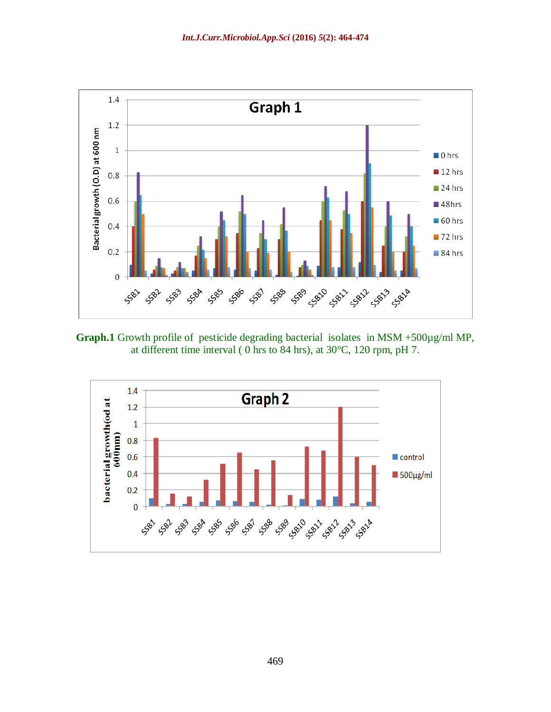

**Graph.1** Growth profile of pesticide degrading bacterial isolates in MSM +500µg/ml MP, at different time interval ( 0 hrs to 84 hrs), at 30°C, 120 rpm, pH 7.

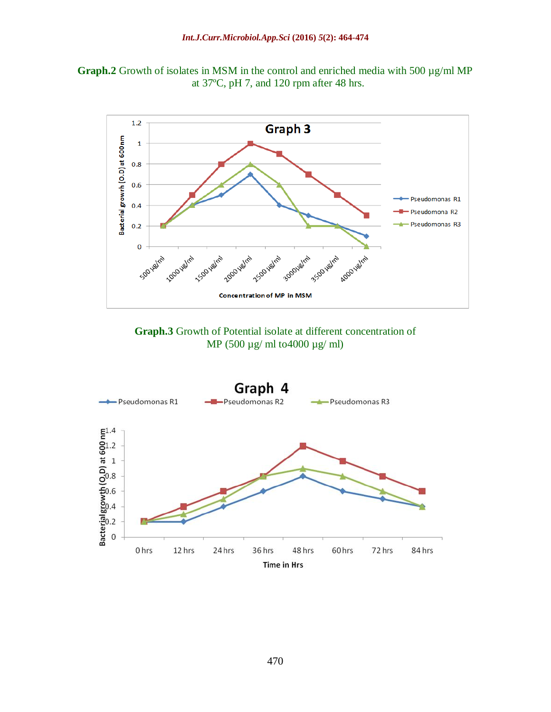





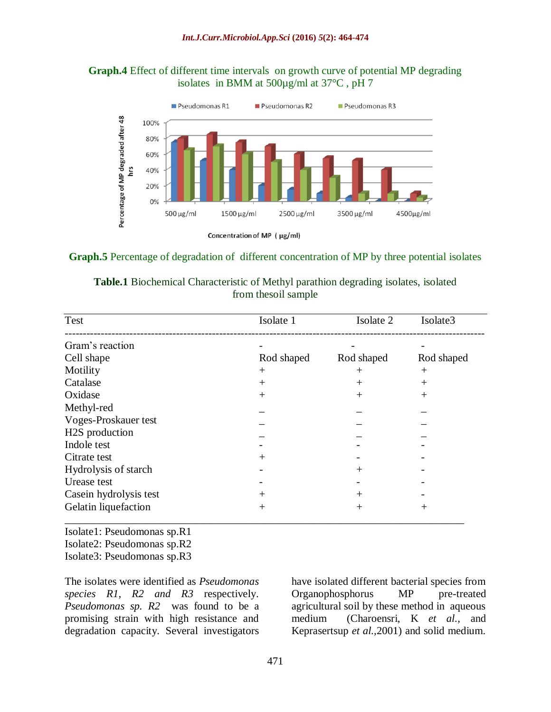#### **Graph.4** Effect of different time intervals on growth curve of potential MP degrading isolates in BMM at 500µg/ml at 37°C , pH 7



#### **Graph.5** Percentage of degradation of different concentration of MP by three potential isolates

|                      |  | <b>Table.1</b> Biochemical Characteristic of Methyl parathion degrading isolates, isolated |  |  |  |  |  |  |  |  |
|----------------------|--|--------------------------------------------------------------------------------------------|--|--|--|--|--|--|--|--|
| from the soil sample |  |                                                                                            |  |  |  |  |  |  |  |  |

| <b>Test</b>                 | Isolate 1  | Isolate 2  | Isolate3   |
|-----------------------------|------------|------------|------------|
| Gram's reaction             |            |            |            |
| Cell shape                  | Rod shaped | Rod shaped | Rod shaped |
| Motility                    | $^{+}$     | $^{+}$     | $^{+}$     |
| Catalase                    | $^{+}$     | $^{+}$     | $^{+}$     |
| Oxidase                     | $^{+}$     | $^{+}$     | $^{+}$     |
| Methyl-red                  |            |            |            |
| Voges-Proskauer test        |            |            |            |
| H <sub>2</sub> S production |            |            |            |
| Indole test                 |            |            |            |
| Citrate test                | $^{+}$     |            |            |
| Hydrolysis of starch        |            | $^{+}$     |            |
| Urease test                 |            |            |            |
| Casein hydrolysis test      | $^{+}$     | $^{+}$     |            |
| Gelatin liquefaction        | $^{+}$     | $^{+}$     | $^+$       |
|                             |            |            |            |

Isolate1: Pseudomonas sp.R1 Isolate2: Pseudomonas sp.R2 Isolate3: Pseudomonas sp.R3

The isolates were identified as *Pseudomonas species R1, R2 and R3* respectively. *Pseudomonas sp. R2* was found to be a promising strain with high resistance and degradation capacity. Several investigators

have isolated different bacterial species from Organophosphorus MP pre-treated agricultural soil by these method in aqueous medium (Charoensri, K *et al.,* and Keprasertsup *et al.,*2001) and solid medium.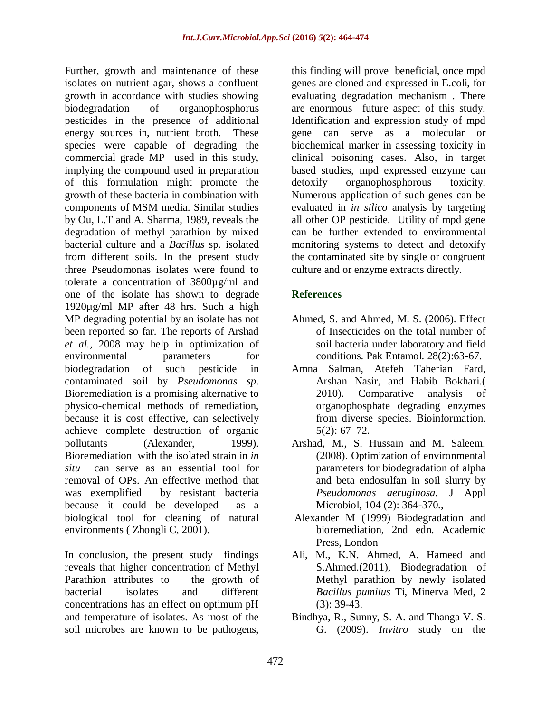Further, growth and maintenance of these isolates on nutrient agar, shows a confluent growth in accordance with studies showing biodegradation of organophosphorus pesticides in the presence of additional energy sources in, nutrient broth. These species were capable of degrading the commercial grade MP used in this study, implying the compound used in preparation of this formulation might promote the growth of these bacteria in combination with components of MSM media. Similar studies by Ou, L.T and A. Sharma, 1989, reveals the degradation of methyl parathion by mixed bacterial culture and a *Bacillus* sp. isolated from different soils. In the present study three Pseudomonas isolates were found to tolerate a concentration of 3800µg/ml and one of the isolate has shown to degrade 1920µg/ml MP after 48 hrs. Such a high MP degrading potential by an isolate has not been reported so far. The reports of Arshad *et al.,* 2008 may help in optimization of environmental parameters for biodegradation of such pesticide in contaminated soil by *Pseudomonas sp*. Bioremediation is a promising alternative to physico-chemical methods of remediation, because it is cost effective, can selectively achieve complete destruction of organic pollutants (Alexander, 1999). Bioremediation with the isolated strain in *in situ* can serve as an essential tool for removal of OPs. An effective method that was exemplified by resistant bacteria because it could be developed as a biological tool for cleaning of natural environments ( Zhongli C, 2001).

In conclusion, the present study findings reveals that higher concentration of Methyl Parathion attributes to the growth of bacterial isolates and different concentrations has an effect on optimum pH and temperature of isolates. As most of the soil microbes are known to be pathogens,

this finding will prove beneficial, once mpd genes are cloned and expressed in E.coli, for evaluating degradation mechanism . There are enormous future aspect of this study. Identification and expression study of mpd gene can serve as a molecular or biochemical marker in assessing toxicity in clinical poisoning cases. Also, in target based studies, mpd expressed enzyme can detoxify organophosphorous toxicity. Numerous application of such genes can be evaluated in *in silico* analysis by targeting all other OP pesticide. Utility of mpd gene can be further extended to environmental monitoring systems to detect and detoxify the contaminated site by single or congruent culture and or enzyme extracts directly.

#### **References**

- Ahmed, S. and Ahmed, M. S. (2006). Effect of Insecticides on the total number of soil bacteria under laboratory and field conditions. Pak Entamol. 28(2):63-67.
- [Amna Salman,](http://www.ncbi.nlm.nih.gov/pubmed/?term=Salman%20A%5Bauth%5D) [Atefeh Taherian Fard,](http://www.ncbi.nlm.nih.gov/pubmed/?term=Fard%20AT%5Bauth%5D) [Arshan Nasir,](http://www.ncbi.nlm.nih.gov/pubmed/?term=Nasir%20A%5Bauth%5D) and [Habib Bokhari.](http://www.ncbi.nlm.nih.gov/pubmed/?term=Bokhari%20H%5Bauth%5D)( 2010). Comparative analysis of organophosphate degrading enzymes from diverse species. Bioinformation. 5(2): 67–72.
- Arshad, M., S. Hussain and M. Saleem. (2008). Optimization of environmental parameters for biodegradation of alpha and beta endosulfan in soil slurry by *Pseudomonas aeruginosa.* J Appl Microbiol, 104 (2): 364-370.,
- Alexander M (1999) Biodegradation and bioremediation, 2nd edn. Academic Press, London
- Ali, M., K.N. Ahmed, A. Hameed and S.Ahmed.(2011), Biodegradation of Methyl parathion by newly isolated *Bacillus pumilus* Ti, Minerva Med, 2 (3): 39-43.
- Bindhya, R., Sunny, S. A. and Thanga V. S. G. (2009). *Invitro* study on the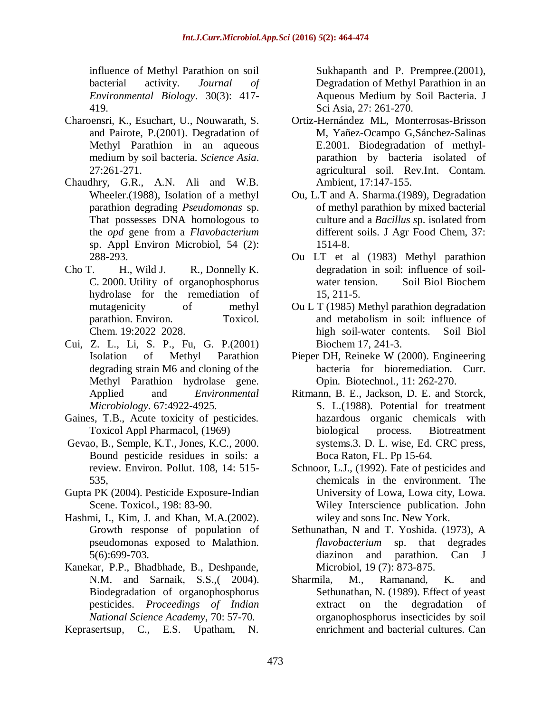influence of Methyl Parathion on soil bacterial activity. *Journal of Environmental Biology*. 30(3): 417- 419.

- Charoensri, K., Esuchart, U., Nouwarath, S. and Pairote, P.(2001). Degradation of Methyl Parathion in an aqueous medium by soil bacteria. *Science Asia*. 27:261-271.
- Chaudhry, G.R., A.N. Ali and W.B. Wheeler.(1988), Isolation of a methyl parathion degrading *Pseudomonas* sp. That possesses DNA homologous to the *opd* gene from a *Flavobacterium*  sp. Appl Environ Microbiol, 54 (2): 288-293.
- Cho T. H., Wild J. R., Donnelly K. C. 2000. Utility of organophosphorus hydrolase for the remediation of mutagenicity of methyl parathion. Environ. Toxicol. Chem. 19:2022–2028.
- Cui, Z. L., Li, S. P., Fu, G. P.(2001) Isolation of Methyl Parathion degrading strain M6 and cloning of the Methyl Parathion hydrolase gene. Applied and *Environmental Microbiology*. 67:4922-4925.
- Gaines, T.B., Acute toxicity of pesticides. Toxicol Appl Pharmacol, (1969)
- Gevao, B., Semple, K.T., Jones, K.C., 2000. Bound pesticide residues in soils: a review. Environ. Pollut. 108, 14: 515- 535,
- Gupta PK (2004). Pesticide Exposure-Indian Scene. Toxicol., 198: 83-90.
- Hashmi, I., Kim, J. and Khan, M.A.(2002). Growth response of population of pseudomonas exposed to Malathion. 5(6):699-703.
- Kanekar, P.P., Bhadbhade, B., Deshpande, N.M. and Sarnaik, S.S.,( 2004). Biodegradation of organophosphorus pesticides. *Proceedings of Indian National Science Academy*, 70: 57-70.
- Keprasertsup, C., E.S. Upatham, N.

Sukhapanth and P. Prempree.(2001), Degradation of Methyl Parathion in an Aqueous Medium by Soil Bacteria. J Sci Asia, 27: 261-270.

- Ortiz-Hernández ML, Monterrosas-Brisson M, Yañez-Ocampo G,Sánchez-Salinas E.2001. Biodegradation of methylparathion by bacteria isolated of agricultural soil. Rev.Int. Contam. Ambient, 17:147-155.
- Ou, L.T and A. Sharma.(1989), Degradation of methyl parathion by mixed bacterial culture and a *Bacillus s*p. isolated from different soils. J Agr Food Chem, 37: 1514-8.
- Ou LT et al (1983) Methyl parathion degradation in soil: influence of soilwater tension. Soil Biol Biochem 15, 211-5.
- Ou L T (1985) Methyl parathion degradation and metabolism in soil: influence of high soil-water contents. Soil Biol Biochem 17, 241-3.
- Pieper DH, Reineke W (2000). Engineering bacteria for bioremediation. Curr. Opin. Biotechnol.*,* 11: 262-270.
- Ritmann, B. E., Jackson, D. E. and Storck, S. L.(1988). Potential for treatment hazardous organic chemicals with biological process. Biotreatment systems.3. D. L. wise, Ed. CRC press, Boca Raton, FL. Pp 15-64.
- Schnoor, L.J., (1992). Fate of pesticides and chemicals in the environment. The University of Lowa, Lowa city, Lowa. Wiley Interscience publication. John wiley and sons Inc. New York.
- Sethunathan, N and T. Yoshida. (1973), A *flavobacterium* sp. that degrades diazinon and parathion. Can J Microbiol, 19 (7): 873-875.
- Sharmila, M., Ramanand, K. and Sethunathan, N. (1989). Effect of yeast extract on the degradation of organophosphorus insecticides by soil enrichment and bacterial cultures. Can